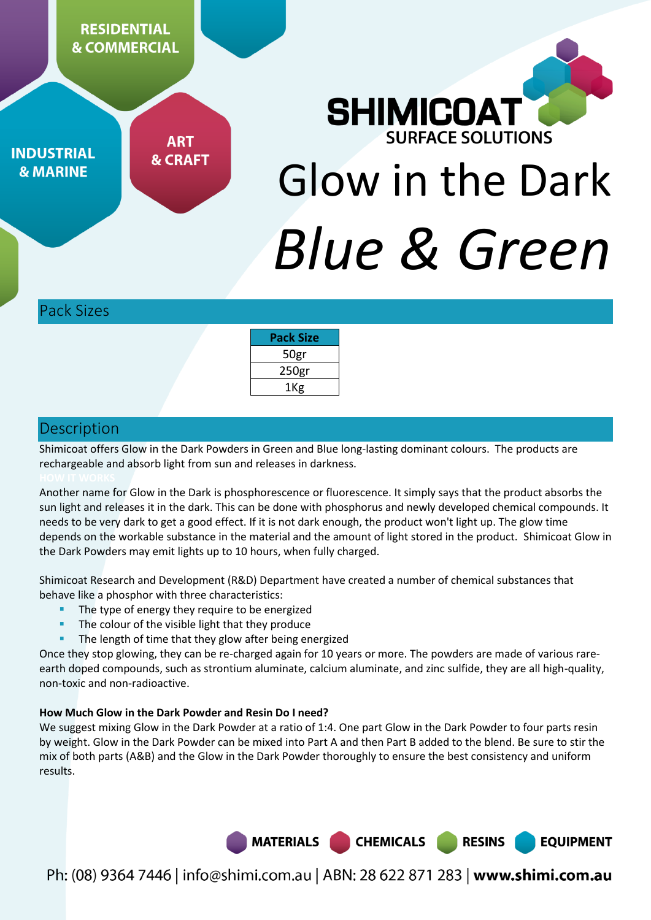**RESIDENTIAL & COMMERCIAL** 

**INDUSTRIAL & MARINE** 

**ART & CRAFT** 

# **SHIMICOAT REACE SOLUTIONS** Glow in the Dark *Blue & Green*

Pack Sizes

| <b>Pack Size</b>  |  |
|-------------------|--|
| 50gr              |  |
| 250 <sub>gr</sub> |  |
| 1Kg               |  |

# Description

Shimicoat offers Glow in the Dark Powders in Green and Blue long-lasting dominant colours. The products are rechargeable and absorb light from sun and releases in darkness.

Another name for Glow in the Dark is phosphorescence or fluorescence. It simply says that the product absorbs the sun light and releases it in the dark. This can be done with phosphorus and newly developed chemical compounds. It needs to be very dark to get a good effect. If it is not dark enough, the product won't light up. The glow time depends on the workable substance in the material and the amount of light stored in the product. Shimicoat Glow in the Dark Powders may emit lights up to 10 hours, when fully charged.

Shimicoat Research and Development (R&D) Department have created a number of chemical substances that behave like a phosphor with three characteristics:

- The type of energy they require to be energized
- The colour of the visible light that they produce
- The length of time that they glow after being energized

Once they stop glowing, they can be re-charged again for 10 years or more. The powders are made of various rareearth doped compounds, such as strontium aluminate, calcium aluminate, and zinc sulfide, they are all high-quality, non-toxic and non-radioactive.

#### **How Much Glow in the Dark Powder and Resin Do I need?**

We suggest mixing Glow in the Dark Powder at a ratio of 1:4. One part Glow in the Dark Powder to four parts resin by weight. Glow in the Dark Powder can be mixed into Part A and then Part B added to the blend. Be sure to stir the mix of both parts (A&B) and the Glow in the Dark Powder thoroughly to ensure the best consistency and uniform results.

> MATERIALS | **CHEMICALS**

**RESINS** 

**EQUIPMENT**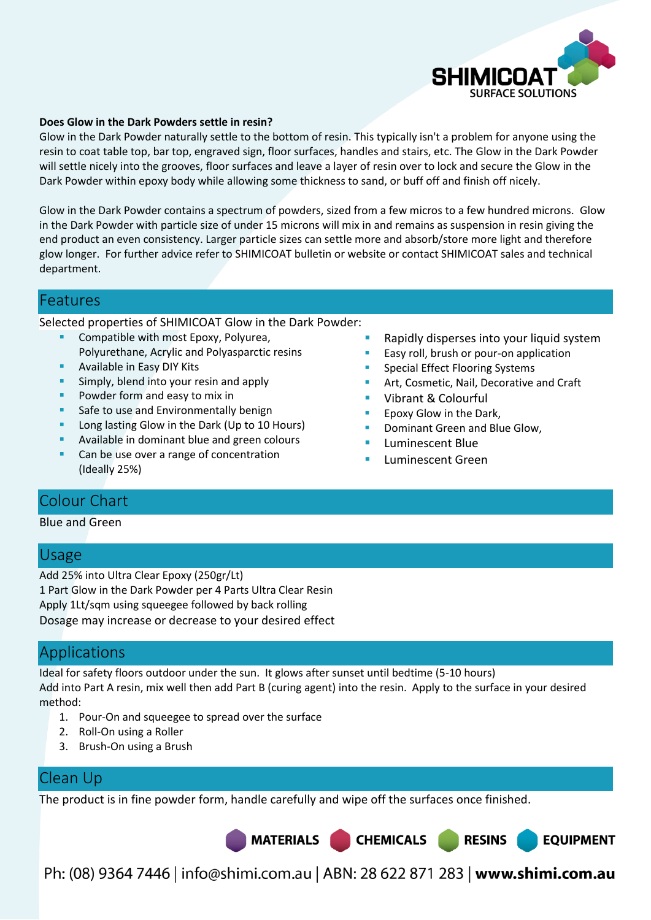

#### **Does Glow in the Dark Powders settle in resin?**

Glow in the Dark Powder naturally settle to the bottom of resin. This typically isn't a problem for anyone using the resin to coat table top, bar top, engraved sign, floor surfaces, handles and stairs, etc. The Glow in the Dark Powder will settle nicely into the grooves, floor surfaces and leave a layer of resin over to lock and secure the Glow in the Dark Powder within epoxy body while allowing some thickness to sand, or buff off and finish off nicely.

Glow in the Dark Powder contains a spectrum of powders, sized from a few micros to a few hundred microns. Glow in the Dark Powder with particle size of under 15 microns will mix in and remains as suspension in resin giving the end product an even consistency. Larger particle sizes can settle more and absorb/store more light and therefore glow longer. For further advice refer to SHIMICOAT bulletin or website or contact SHIMICOAT sales and technical department.

#### Features

Selected properties of SHIMICOAT Glow in the Dark Powder:

- Compatible with most Epoxy, Polyurea, Polyurethane, Acrylic and Polyasparctic resins
- Available in Easy DIY Kits
- **Simply, blend into your resin and apply**
- Powder form and easy to mix in
- Safe to use and Environmentally benign
- **Long lasting Glow in the Dark (Up to 10 Hours)**
- Available in dominant blue and green colours
- Can be use over a range of concentration (Ideally 25%)
- Rapidly disperses into your liquid system
- Easy roll, brush or pour-on application
- Special Effect Flooring Systems
- Art, Cosmetic, Nail, Decorative and Craft

**RESINS** 

**EQUIPMENT** 

- Vibrant & Colourful
- Epoxy Glow in the Dark,
- Dominant Green and Blue Glow,
- Luminescent Blue
- Luminescent Green

## Colour Chart

#### Blue and Green

## Usage

Add 25% into Ultra Clear Epoxy (250gr/Lt) 1 Part Glow in the Dark Powder per 4 Parts Ultra Clear Resin Apply 1Lt/sqm using squeegee followed by back rolling Dosage may increase or decrease to your desired effect

## Applications

Ideal for safety floors outdoor under the sun. It glows after sunset until bedtime (5-10 hours) Add into Part A resin, mix well then add Part B (curing agent) into the resin. Apply to the surface in your desired method:

- 1. Pour-On and squeegee to spread over the surface
- 2. Roll-On using a Roller
- 3. Brush-On using a Brush

## Clean Up

The product is in fine powder form, handle carefully and wipe off the surfaces once finished.

MATERIALS CHEMICALS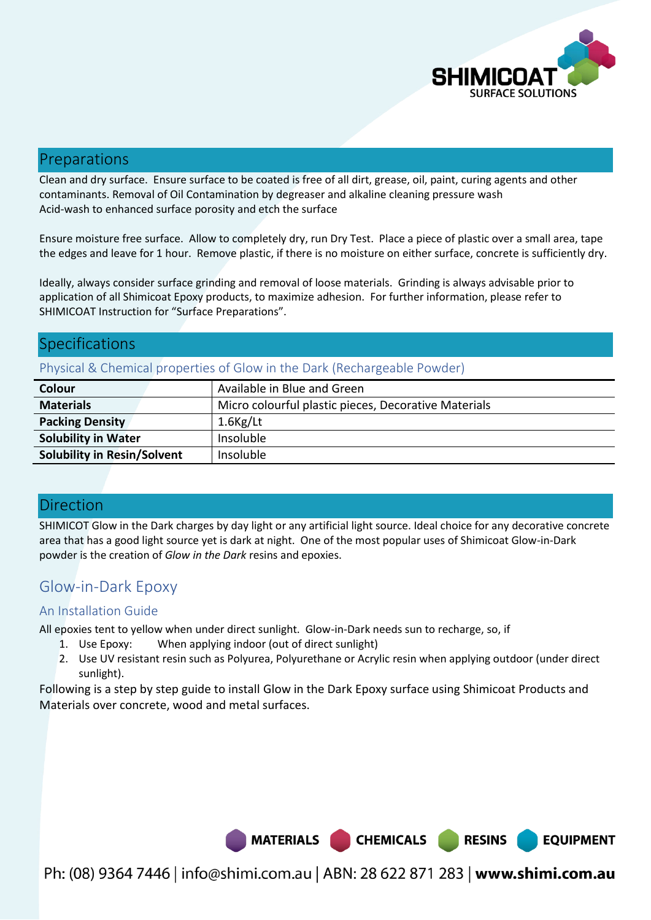

**EQUIPMENT** 

# Preparations

Clean and dry surface. Ensure surface to be coated is free of all dirt, grease, oil, paint, curing agents and other contaminants. Removal of Oil Contamination by degreaser and alkaline cleaning pressure wash Acid-wash to enhanced surface porosity and etch the surface

Ensure moisture free surface. Allow to completely dry, run Dry Test. Place a piece of plastic over a small area, tape the edges and leave for 1 hour. Remove plastic, if there is no moisture on either surface, concrete is sufficiently dry.

Ideally, always consider surface grinding and removal of loose materials. Grinding is always advisable prior to application of all Shimicoat Epoxy products, to maximize adhesion. For further information, please refer to SHIMICOAT Instruction for "Surface Preparations".

# **Specifications**

## Physical & Chemical properties of Glow in the Dark (Rechargeable Powder)

| Colour                             | Available in Blue and Green                          |
|------------------------------------|------------------------------------------------------|
| <b>Materials</b>                   | Micro colourful plastic pieces, Decorative Materials |
| <b>Packing Density</b>             | $1.6$ Kg/Lt                                          |
| <b>Solubility in Water</b>         | Insoluble                                            |
| <b>Solubility in Resin/Solvent</b> | Insoluble                                            |

## Direction

SHIMICOT Glow in the Dark charges by day light or any artificial light source. Ideal choice for any decorative concrete area that has a good light source yet is dark at night. One of the most popular uses of Shimicoat Glow-in-Dark powder is the creation of *Glow in the Dark* resins and epoxies.

# Glow-in-Dark Epoxy

## An Installation Guide

All epoxies tent to yellow when under direct sunlight. Glow-in-Dark needs sun to recharge, so, if

- 1. Use Epoxy: When applying indoor (out of direct sunlight)
- 2. Use UV resistant resin such as Polyurea, Polyurethane or Acrylic resin when applying outdoor (under direct sunlight).

Following is a step by step guide to install Glow in the Dark Epoxy surface using Shimicoat Products and Materials over concrete, wood and metal surfaces.